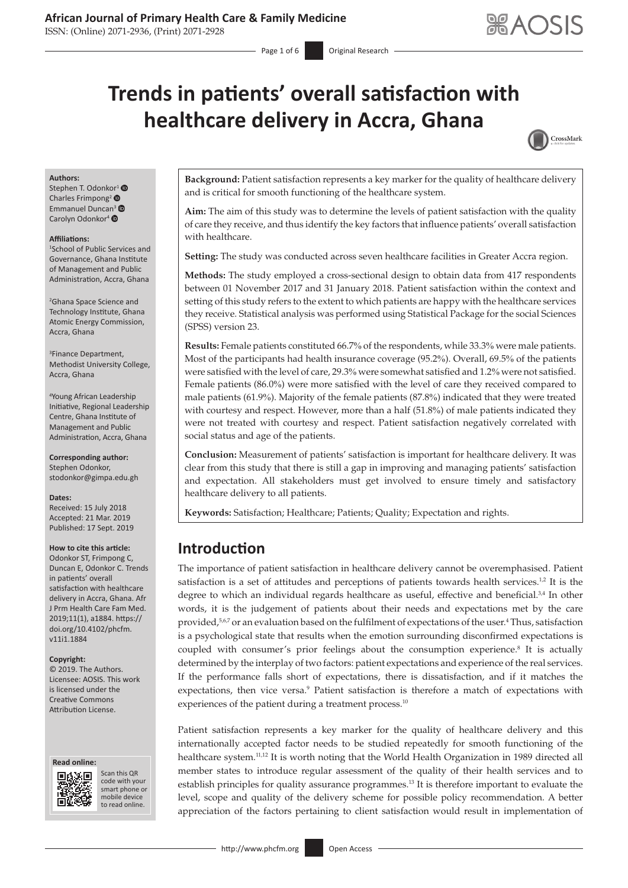ISSN: (Online) 2071-2936, (Print) 2071-2928

# **Trends in patients' overall satisfaction with healthcare delivery in Accra, Ghana**

<span id="page-0-3"></span><span id="page-0-1"></span>

#### **Authors:**

Stephen T. Odonkor<sup>[1](https://orcid.org/0000-0002-8149-9936)</sup> <sup>O</sup> Charles Frimpong<sup>[2](https://orcid.org/0000-0002-8599-9196)</sup> Emmanuel Duncan<sup>[3](https://orcid.org/0000-0002-0348-4106)</sup> Carolyn Odonkor<sup>4</sup> <sup>®</sup>

#### **Affiliations:**

1 School of Public Services and Governance, Ghana Institute of Management and Public Administration, Accra, Ghana

2 Ghana Space Science and Technology Institute, Ghana Atomic Energy Commission, Accra, Ghana

3 Finance Department, Methodist University College, Accra, Ghana

4 Young African Leadership Initiative, Regional Leadership Centre, Ghana Institute of Management and Public Administration, Accra, Ghana

**Corresponding author:** Stephen Odonkor, [stodonkor@gimpa.edu.gh](mailto:stodonkor@gimpa.edu.gh)

**Dates:** Received: 15 July 2018 Accepted: 21 Mar. 2019 Published: 17 Sept. 2019

#### **How to cite this article:**

Odonkor ST, Frimpong C, Duncan E, Odonkor C. Trends in patients' overall satisfaction with healthcare delivery in Accra, Ghana. Afr J Prm Health Care Fam Med. 2019;11(1), a1884. [https://](https://doi.org/10.4102/phcfm.v11i1.1884) [doi.org/10.4102/phcfm.](https://doi.org/10.4102/phcfm.v11i1.1884) [v11i1.1884](https://doi.org/10.4102/phcfm.v11i1.1884)

#### **Copyright:**

© 2019. The Authors. Licensee: AOSIS. This work is licensed under the Creative Commons Attribution License.





Scan this QR code with your Scan this QR<br>code with your<br>smart phone or<br>mobile device mobile device to read online. to read online.

**Background:** Patient satisfaction represents a key marker for the quality of healthcare delivery and is critical for smooth functioning of the healthcare system.

**Aim:** The aim of this study was to determine the levels of patient satisfaction with the quality of care they receive, and thus identify the key factors that influence patients' overall satisfaction with healthcare.

Setting: The study was conducted across seven healthcare facilities in Greater Accra region.

**Methods:** The study employed a cross-sectional design to obtain data from 417 respondents between 01 November 2017 and 31 January 2018. Patient satisfaction within the context and setting of this study refers to the extent to which patients are happy with the healthcare services they receive. Statistical analysis was performed using Statistical Package for the social Sciences (SPSS) version 23.

**Results:** Female patients constituted 66.7% of the respondents, while 33.3% were male patients. Most of the participants had health insurance coverage (95.2%). Overall, 69.5% of the patients were satisfied with the level of care, 29.3% were somewhat satisfied and 1.2% were not satisfied. Female patients (86.0%) were more satisfied with the level of care they received compared to male patients (61.9%). Majority of the female patients (87.8%) indicated that they were treated with courtesy and respect. However, more than a half (51.8%) of male patients indicated they were not treated with courtesy and respect. Patient satisfaction negatively correlated with social status and age of the patients.

**Conclusion:** Measurement of patients' satisfaction is important for healthcare delivery. It was clear from this study that there is still a gap in improving and managing patients' satisfaction and expectation. All stakeholders must get involved to ensure timely and satisfactory healthcare delivery to all patients.

**Keywords:** Satisfaction; Healthcare; Patients; Quality; Expectation and rights.

# **Introduction**

<span id="page-0-6"></span><span id="page-0-5"></span><span id="page-0-4"></span><span id="page-0-2"></span><span id="page-0-0"></span>The importance of patient satisfaction in healthcare delivery cannot be overemphasised. Patient satisfaction is a set of attitudes and perceptions of patients towards health services.<sup>1[,2](#page-5-0)</sup> It is the degree to which an individual regards healthcare as useful, effective and beneficial.<sup>3[,4](#page-5-2)</sup> In other words, it is the judgement of patients about their needs and expectations met by the care provided,<sup>[5](#page-5-3),[6](#page-5-4)[7](#page-5-5)</sup> or an evaluation based on the fulfilment of expectations of the user.<sup>[4](#page-5-2)</sup> Thus, satisfaction is a psychological state that results when the emotion surrounding disconfirmed expectations is coupled with consumer's prior feelings about the consumption experience.<sup>[8](#page-5-6)</sup> It is actually determined by the interplay of two factors: patient expectations and experience of the real services. If the performance falls short of expectations, there is dissatisfaction, and if it matches the expectations, then vice versa.<sup>9</sup> Patient satisfaction is therefore a match of expectations with experiences of the patient during a treatment process.<sup>[10](#page-5-7)</sup>

<span id="page-0-11"></span><span id="page-0-10"></span><span id="page-0-9"></span><span id="page-0-8"></span><span id="page-0-7"></span>Patient satisfaction represents a key marker for the quality of healthcare delivery and this internationally accepted factor needs to be studied repeatedly for smooth functioning of the healthcare system.[11,](#page-5-8)[12](#page-5-9) It is worth noting that the World Health Organization in 1989 directed all member states to introduce regular assessment of the quality of their health services and to establish principles for quality assurance programmes.[13](#page-5-10) It is therefore important to evaluate the level, scope and quality of the delivery scheme for possible policy recommendation. A better appreciation of the factors pertaining to client satisfaction would result in implementation of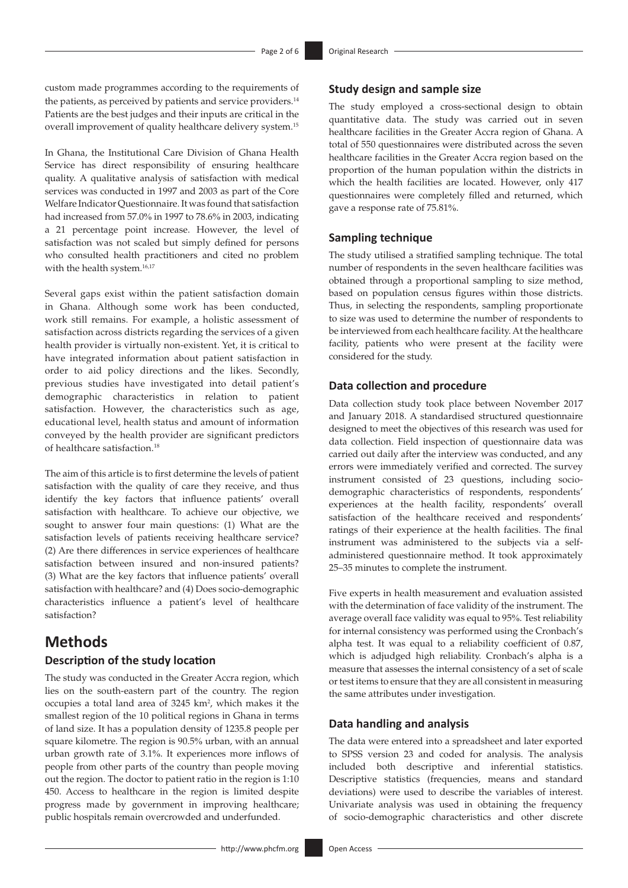custom made programmes according to the requirements of the patients, as perceived by patients and service providers.<sup>14</sup> Patients are the best judges and their inputs are critical in the overall improvement of quality healthcare delivery system.[15](#page-5-12)

<span id="page-1-1"></span>In Ghana, the Institutional Care Division of Ghana Health Service has direct responsibility of ensuring healthcare quality. A qualitative analysis of satisfaction with medical services was conducted in 1997 and 2003 as part of the Core Welfare Indicator Questionnaire. It was found that satisfaction had increased from 57.0% in 1997 to 78.6% in 2003, indicating a 21 percentage point increase. However, the level of satisfaction was not scaled but simply defined for persons who consulted health practitioners and cited no problem with the health system.<sup>[16](#page-5-13),[17](#page-5-14)</sup>

<span id="page-1-2"></span>Several gaps exist within the patient satisfaction domain in Ghana. Although some work has been conducted, work still remains. For example, a holistic assessment of satisfaction across districts regarding the services of a given health provider is virtually non-existent. Yet, it is critical to have integrated information about patient satisfaction in order to aid policy directions and the likes. Secondly, previous studies have investigated into detail patient's demographic characteristics in relation to patient satisfaction. However, the characteristics such as age, educational level, health status and amount of information conveyed by the health provider are significant predictors of healthcare satisfaction.[18](#page-5-15)

<span id="page-1-4"></span>The aim of this article is to first determine the levels of patient satisfaction with the quality of care they receive, and thus identify the key factors that influence patients' overall satisfaction with healthcare. To achieve our objective, we sought to answer four main questions: (1) What are the satisfaction levels of patients receiving healthcare service? (2) Are there differences in service experiences of healthcare satisfaction between insured and non-insured patients? (3) What are the key factors that influence patients' overall satisfaction with healthcare? and (4) Does socio-demographic characteristics influence a patient's level of healthcare satisfaction?

# **Methods**

### **Description of the study location**

The study was conducted in the Greater Accra region, which lies on the south-eastern part of the country. The region occupies a total land area of  $3245 \text{ km}^2$ , which makes it the smallest region of the 10 political regions in Ghana in terms of land size. It has a population density of 1235.8 people per square kilometre. The region is 90.5% urban, with an annual urban growth rate of 3.1%. It experiences more inflows of people from other parts of the country than people moving out the region. The doctor to patient ratio in the region is 1:10 450. Access to healthcare in the region is limited despite progress made by government in improving healthcare; public hospitals remain overcrowded and underfunded.

### **Study design and sample size**

<span id="page-1-0"></span>The study employed a cross-sectional design to obtain quantitative data. The study was carried out in seven healthcare facilities in the Greater Accra region of Ghana. A total of 550 questionnaires were distributed across the seven healthcare facilities in the Greater Accra region based on the proportion of the human population within the districts in which the health facilities are located. However, only 417 questionnaires were completely filled and returned, which gave a response rate of 75.81%.

#### **Sampling technique**

<span id="page-1-3"></span>The study utilised a stratified sampling technique. The total number of respondents in the seven healthcare facilities was obtained through a proportional sampling to size method, based on population census figures within those districts. Thus, in selecting the respondents, sampling proportionate to size was used to determine the number of respondents to be interviewed from each healthcare facility. At the healthcare facility, patients who were present at the facility were considered for the study.

### **Data collection and procedure**

Data collection study took place between November 2017 and January 2018. A standardised structured questionnaire designed to meet the objectives of this research was used for data collection. Field inspection of questionnaire data was carried out daily after the interview was conducted, and any errors were immediately verified and corrected. The survey instrument consisted of 23 questions, including sociodemographic characteristics of respondents, respondents' experiences at the health facility, respondents' overall satisfaction of the healthcare received and respondents' ratings of their experience at the health facilities. The final instrument was administered to the subjects via a selfadministered questionnaire method. It took approximately 25–35 minutes to complete the instrument.

Five experts in health measurement and evaluation assisted with the determination of face validity of the instrument. The average overall face validity was equal to 95%. Test reliability for internal consistency was performed using the Cronbach's alpha test. It was equal to a reliability coefficient of 0.87, which is adjudged high reliability. Cronbach's alpha is a measure that assesses the internal consistency of a set of scale or test items to ensure that they are all consistent in measuring the same attributes under investigation.

### **Data handling and analysis**

The data were entered into a spreadsheet and later exported to SPSS version 23 and coded for analysis. The analysis included both descriptive and inferential statistics. Descriptive statistics (frequencies, means and standard deviations) were used to describe the variables of interest. Univariate analysis was used in obtaining the frequency of socio-demographic characteristics and other discrete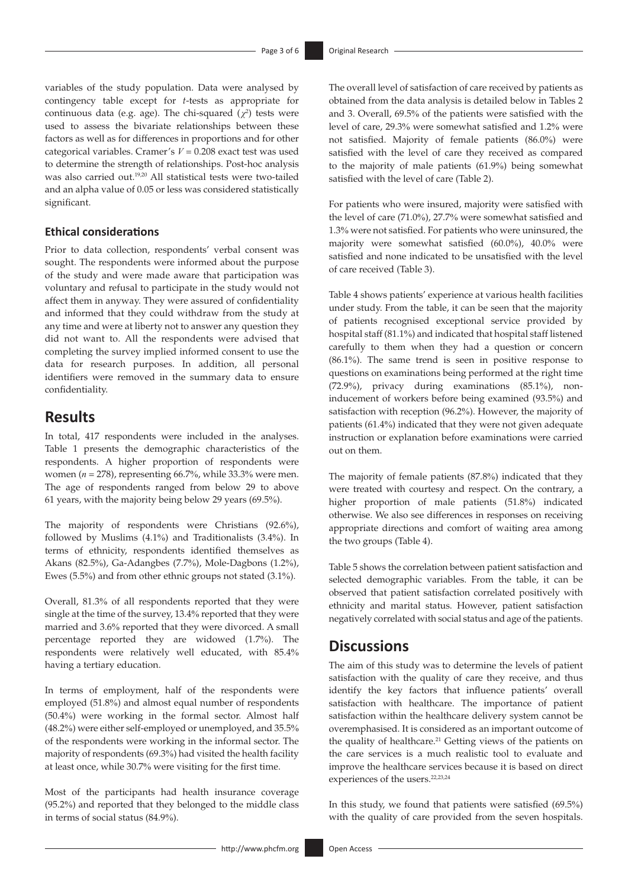variables of the study population. Data were analysed by contingency table except for *t*-tests as appropriate for continuous data (e.g. age). The chi-squared  $(\chi^2)$  tests were used to assess the bivariate relationships between these factors as well as for differences in proportions and for other categorical variables. Cramer's *V* = 0.208 exact test was used to determine the strength of relationships. Post-hoc analysis was also carried out.[19](#page-5-16)[,20](#page-5-17) All statistical tests were two-tailed and an alpha value of 0.05 or less was considered statistically significant.

#### <span id="page-2-0"></span>**Ethical considerations**

Prior to data collection, respondents' verbal consent was sought. The respondents were informed about the purpose of the study and were made aware that participation was voluntary and refusal to participate in the study would not affect them in anyway. They were assured of confidentiality and informed that they could withdraw from the study at any time and were at liberty not to answer any question they did not want to. All the respondents were advised that completing the survey implied informed consent to use the data for research purposes. In addition, all personal identifiers were removed in the summary data to ensure confidentiality.

# **Results**

In total, 417 respondents were included in the analyses. Table 1 presents the demographic characteristics of the respondents. A higher proportion of respondents were women (*n* = 278), representing 66.7%, while 33.3% were men. The age of respondents ranged from below 29 to above 61 years, with the majority being below 29 years (69.5%).

The majority of respondents were Christians (92.6%), followed by Muslims (4.1%) and Traditionalists (3.4%). In terms of ethnicity, respondents identified themselves as Akans (82.5%), Ga-Adangbes (7.7%), Mole-Dagbons (1.2%), Ewes (5.5%) and from other ethnic groups not stated (3.1%).

Overall, 81.3% of all respondents reported that they were single at the time of the survey, 13.4% reported that they were married and 3.6% reported that they were divorced. A small percentage reported they are widowed (1.7%). The respondents were relatively well educated, with 85.4% having a tertiary education.

In terms of employment, half of the respondents were employed (51.8%) and almost equal number of respondents (50.4%) were working in the formal sector. Almost half (48.2%) were either self-employed or unemployed, and 35.5% of the respondents were working in the informal sector. The majority of respondents (69.3%) had visited the health facility at least once, while 30.7% were visiting for the first time.

Most of the participants had health insurance coverage (95.2%) and reported that they belonged to the middle class in terms of social status (84.9%).

The overall level of satisfaction of care received by patients as obtained from the data analysis is detailed below in Tables 2 and 3. Overall, 69.5% of the patients were satisfied with the level of care, 29.3% were somewhat satisfied and 1.2% were not satisfied. Majority of female patients (86.0%) were satisfied with the level of care they received as compared to the majority of male patients (61.9%) being somewhat satisfied with the level of care (Table 2).

<span id="page-2-1"></span>For patients who were insured, majority were satisfied with the level of care (71.0%), 27.7% were somewhat satisfied and 1.3% were not satisfied. For patients who were uninsured, the majority were somewhat satisfied (60.0%), 40.0% were satisfied and none indicated to be unsatisfied with the level of care received (Table 3).

Table 4 shows patients' experience at various health facilities under study. From the table, it can be seen that the majority of patients recognised exceptional service provided by hospital staff (81.1%) and indicated that hospital staff listened carefully to them when they had a question or concern (86.1%). The same trend is seen in positive response to questions on examinations being performed at the right time (72.9%), privacy during examinations (85.1%), noninducement of workers before being examined (93.5%) and satisfaction with reception (96.2%). However, the majority of patients (61.4%) indicated that they were not given adequate instruction or explanation before examinations were carried out on them.

The majority of female patients (87.8%) indicated that they were treated with courtesy and respect. On the contrary, a higher proportion of male patients (51.8%) indicated otherwise. We also see differences in responses on receiving appropriate directions and comfort of waiting area among the two groups (Table 4).

Table 5 shows the correlation between patient satisfaction and selected demographic variables. From the table, it can be observed that patient satisfaction correlated positively with ethnicity and marital status. However, patient satisfaction negatively correlated with social status and age of the patients.

# **Discussions**

The aim of this study was to determine the levels of patient satisfaction with the quality of care they receive, and thus identify the key factors that influence patients' overall satisfaction with healthcare. The importance of patient satisfaction within the healthcare delivery system cannot be overemphasised. It is considered as an important outcome of the quality of healthcare.<sup>21</sup> Getting views of the patients on the care services is a much realistic tool to evaluate and improve the healthcare services because it is based on direct experiences of the users.<sup>[22](#page-5-18),23,[24](#page-5-19)</sup>

<span id="page-2-4"></span><span id="page-2-3"></span><span id="page-2-2"></span>In this study, we found that patients were satisfied (69.5%) with the quality of care provided from the seven hospitals.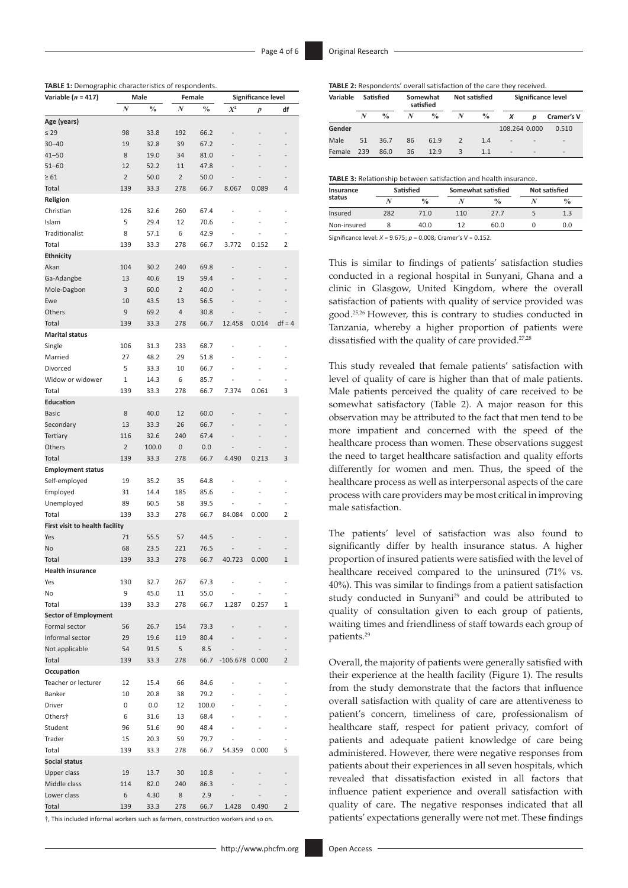| TABLE 1: Demographic characteristics of respondents. |  |  |
|------------------------------------------------------|--|--|
|------------------------------------------------------|--|--|

| Variable $(n = 417)$           |                | Male          |                | Female        |                | Significance level       |                |  |
|--------------------------------|----------------|---------------|----------------|---------------|----------------|--------------------------|----------------|--|
|                                | N              | $\frac{0}{0}$ | N              | $\frac{0}{0}$ | $X^2$          | p                        | df             |  |
| Age (years)                    |                |               |                |               |                |                          |                |  |
| $\leq 29$                      | 98             | 33.8          | 192            | 66.2          | $\overline{a}$ |                          |                |  |
| $30 - 40$                      | 19             | 32.8          | 39             | 67.2          |                |                          |                |  |
| 41–50                          | 8              | 19.0          | 34             | 81.0          |                |                          |                |  |
| $51 - 60$                      | 12             | 52.2          | 11             | 47.8          |                |                          |                |  |
| $\geq 61$                      | $\overline{2}$ | 50.0          | 2              | 50.0          |                |                          |                |  |
| Total                          | 139            | 33.3          | 278            | 66.7          | 8.067          | 0.089                    | 4              |  |
| Religion                       |                |               |                |               |                |                          |                |  |
| Christian                      | 126            | 32.6          | 260            | 67.4          | $\overline{a}$ |                          | L,             |  |
| Islam                          | 5              | 29.4          | 12             | 70.6          | $\overline{a}$ | L,                       | $\overline{a}$ |  |
| Traditionalist                 | 8              | 57.1          | 6              | 42.9          |                |                          |                |  |
| Total                          | 139            | 33.3          | 278            | 66.7          | 3.772          | 0.152                    | 2              |  |
| <b>Ethnicity</b>               |                |               |                |               |                |                          |                |  |
| Akan                           | 104            | 30.2          | 240            | 69.8          | $\overline{a}$ | $\overline{a}$           |                |  |
| Ga-Adangbe                     | 13             | 40.6          | 19             | 59.4          | $\overline{a}$ | $\overline{\phantom{0}}$ |                |  |
| Mole-Dagbon                    | 3              | 60.0          | $\overline{2}$ | 40.0          |                |                          |                |  |
| Ewe                            | 10             | 43.5          | 13             | 56.5          | $\overline{a}$ | L,                       |                |  |
| Others                         | 9              | 69.2          | 4              | 30.8          |                |                          |                |  |
| Total                          | 139            | 33.3          | 278            | 66.7          | 12.458         | 0.014                    | $df = 4$       |  |
| <b>Marital status</b>          |                |               |                |               |                |                          |                |  |
| Single                         | 106            | 31.3          | 233            | 68.7          | $\overline{a}$ | $\overline{a}$           | $\overline{a}$ |  |
| Married                        | 27             | 48.2          | 29             | 51.8          |                |                          |                |  |
| Divorced                       | 5              | 33.3          | 10             | 66.7          | $\overline{a}$ |                          | $\overline{a}$ |  |
| Widow or widower               | 1              | 14.3          | 6              | 85.7          |                |                          |                |  |
| Total                          | 139            | 33.3          | 278            | 66.7          | 7.374          | 0.061                    | 3              |  |
| <b>Education</b>               |                |               |                |               |                |                          |                |  |
| <b>Basic</b>                   | 8              | 40.0          | 12             | 60.0          |                |                          |                |  |
| Secondary                      | 13             | 33.3          | 26             | 66.7          | $\overline{a}$ | $\overline{a}$           | $\overline{a}$ |  |
| Tertiary                       | 116            | 32.6          | 240            | 67.4          | $\overline{a}$ |                          |                |  |
| Others                         | $\overline{2}$ | 100.0         | 0              | 0.0           |                |                          |                |  |
| Total                          | 139            | 33.3          | 278            | 66.7          | 4.490          | 0.213                    | 3              |  |
| <b>Employment status</b>       |                |               |                |               |                |                          |                |  |
| Self-employed                  | 19             | 35.2          | 35             | 64.8          |                |                          |                |  |
| Employed                       | 31             | 14.4          | 185            | 85.6          | $\overline{a}$ | $\overline{a}$           |                |  |
| Unemployed                     | 89             | 60.5          | 58             | 39.5          |                |                          |                |  |
| Total                          | 139            | 33.3          | 278            | 66.7          | 84.084         | 0.000                    | 2              |  |
| First visit to health facility |                |               |                |               |                |                          |                |  |
| Yes                            | 71             | 55.5          | 57             | 44.5          | $\overline{a}$ |                          |                |  |
| No                             | 68             | 23.5          | 221            | 76.5          |                |                          |                |  |
| Total                          | 139            | 33.3          | 278            | 66.7          | 40.723         | 0.000                    | $\mathbf{1}$   |  |
| <b>Health insurance</b>        |                |               |                |               |                |                          |                |  |
| Yes                            | 130            | 32.7          | 267            | 67.3          |                |                          |                |  |
| No                             | 9              | 45.0          | 11             | 55.0          |                |                          | $\overline{a}$ |  |
| Total                          | 139            | 33.3          | 278            | 66.7          | 1.287          | 0.257                    | 1              |  |
| <b>Sector of Employment</b>    |                |               |                |               |                |                          |                |  |
| Formal sector                  | 56             | 26.7          | 154            | 73.3          | $\overline{a}$ | $\overline{a}$           |                |  |
| Informal sector                | 29             | 19.6          | 119            | 80.4          |                |                          |                |  |
| Not applicable                 | 54             | 91.5          | 5              | 8.5           |                |                          |                |  |
| Total                          | 139            | 33.3          | 278            | 66.7          | $-106.678$     | 0.000                    | $\overline{2}$ |  |
| Occupation                     |                |               |                |               |                |                          |                |  |
| Teacher or lecturer            | 12             | 15.4          | 66             | 84.6          |                | $\overline{a}$           |                |  |
| Banker                         | 10             | 20.8          | 38             | 79.2          | $\overline{a}$ | $\overline{a}$           |                |  |
| Driver                         | 0              | $0.0\,$       | 12             | 100.0         |                |                          |                |  |
| Others†                        | 6              | 31.6          | 13             | 68.4          | $\overline{a}$ |                          |                |  |
| Student                        | 96             | 51.6          | 90             | 48.4          | $\overline{a}$ |                          |                |  |
| Trader                         | 15             | 20.3          | 59             | 79.7          |                |                          |                |  |
| Total                          | 139            | 33.3          | 278            | 66.7          | 54.359         | 0.000                    | 5              |  |
| <b>Social status</b>           |                |               |                |               |                |                          |                |  |
| Upper class                    | 19             | 13.7          | 30             | 10.8          | $\overline{a}$ |                          | $\overline{a}$ |  |
| Middle class                   | 114            | 82.0          | 240            | 86.3          |                |                          |                |  |
| Lower class                    | 6              | 4.30          | 8              | 2.9           |                |                          |                |  |
| Total                          | 139            | 33.3          | 278            | 66.7          | 1.428          | 0.490                    | $\overline{2}$ |  |

†, This included informal workers such as farmers, construction workers and so on.

|  | <b>TABLE 2:</b> Respondents' overall satisfaction of the care they received. |  |
|--|------------------------------------------------------------------------------|--|
|--|------------------------------------------------------------------------------|--|

| Variable |     | Satisfied     |    | Somewhat<br>satisfied |   | <b>Not satisfied</b> | Significance level       |                          |                          |
|----------|-----|---------------|----|-----------------------|---|----------------------|--------------------------|--------------------------|--------------------------|
|          | N   | $\frac{0}{0}$ | N  | $\frac{0}{0}$         | N | $\frac{0}{0}$        | х                        | D                        | Cramer's V               |
| Gender   |     |               |    |                       |   |                      | 108,264 0,000            |                          | 0.510                    |
| Male     | 51  | 36.7          | 86 | 61.9                  | 2 | 1.4                  | -                        | $\overline{\phantom{0}}$ | $\overline{\phantom{0}}$ |
| Female   | 239 | 86.0          | 36 | 12.9                  | 3 | 1.1                  | $\overline{\phantom{0}}$ | $\overline{\phantom{0}}$ | $\overline{\phantom{a}}$ |

**TABLE 3:** Relationship between satisfaction and health insurance**.**

| Insurance   | Satisfied |               |     | Somewhat satisfied | <b>Not satisfied</b> |               |  |
|-------------|-----------|---------------|-----|--------------------|----------------------|---------------|--|
| status      |           | $\frac{0}{0}$ |     | $\frac{0}{0}$      |                      | $\frac{0}{0}$ |  |
| Insured     | 282       | 71.0          | 110 | 27.7               |                      | 1.3           |  |
| Non-insured |           | 40.0          | 17  | 60.0               |                      | 0.0           |  |
| $-1$ $-1$   | .         | ----- -       | .   |                    |                      |               |  |

Significance level: *X* = 9.675; *p* = 0.008; Cramer's V = 0.152.

<span id="page-3-1"></span><span id="page-3-0"></span>This is similar to findings of patients' satisfaction studies conducted in a regional hospital in Sunyani, Ghana and a clinic in Glasgow, United Kingdom, where the overall satisfaction of patients with quality of service provided was good.25,[26](#page-5-20) However, this is contrary to studies conducted in Tanzania, whereby a higher proportion of patients were dissatisfied with the quality of care provided.<sup>27,28</sup>

<span id="page-3-3"></span><span id="page-3-2"></span>This study revealed that female patients' satisfaction with level of quality of care is higher than that of male patients. Male patients perceived the quality of care received to be somewhat satisfactory (Table 2). A major reason for this observation may be attributed to the fact that men tend to be more impatient and concerned with the speed of the healthcare process than women. These observations suggest the need to target healthcare satisfaction and quality efforts differently for women and men. Thus, the speed of the healthcare process as well as interpersonal aspects of the care process with care providers may be most critical in improving male satisfaction.

<span id="page-3-4"></span>The patients' level of satisfaction was also found to significantly differ by health insurance status. A higher proportion of insured patients were satisfied with the level of healthcare received compared to the uninsured (71% vs. 40%). This was similar to findings from a patient satisfaction study conducted in Sunyani<sup>29</sup> and could be attributed to quality of consultation given to each group of patients, waiting times and friendliness of staff towards each group of patients.[29](#page-5-21)

Overall, the majority of patients were generally satisfied with their experience at the health facility (Figure 1). The results from the study demonstrate that the factors that influence overall satisfaction with quality of care are attentiveness to patient's concern, timeliness of care, professionalism of healthcare staff, respect for patient privacy, comfort of patients and adequate patient knowledge of care being administered. However, there were negative responses from patients about their experiences in all seven hospitals, which revealed that dissatisfaction existed in all factors that influence patient experience and overall satisfaction with quality of care. The negative responses indicated that all patients' expectations generally were not met. These findings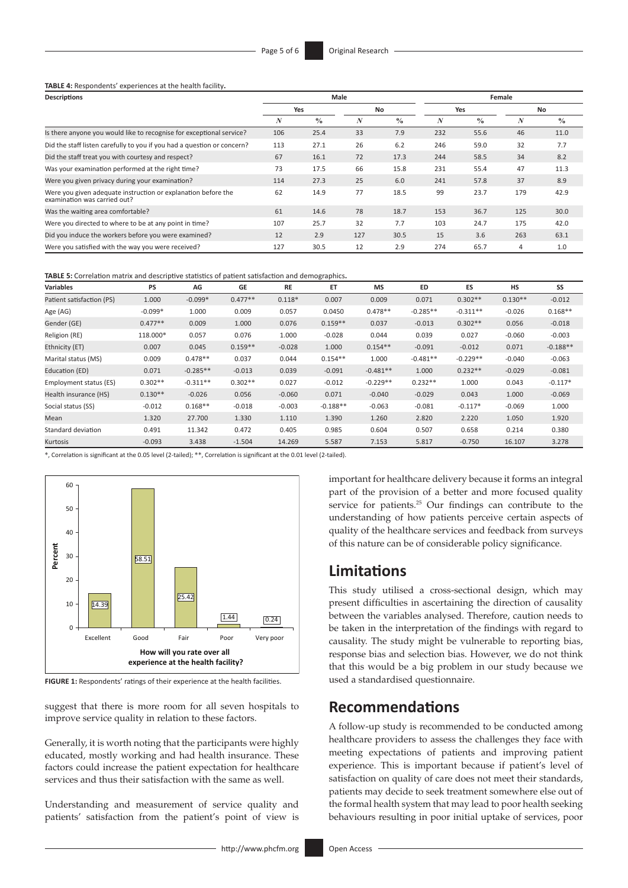**TABLE 4:** Respondents' experiences at the health facility**.**

| <b>Descriptions</b>                                                                           |     |               | Male |               | Female |               |                  |               |
|-----------------------------------------------------------------------------------------------|-----|---------------|------|---------------|--------|---------------|------------------|---------------|
|                                                                                               | Yes |               | No   |               | Yes    |               | No               |               |
|                                                                                               | N   | $\frac{0}{0}$ | N    | $\frac{0}{0}$ | N      | $\frac{0}{0}$ | $\boldsymbol{N}$ | $\frac{0}{0}$ |
| Is there anyone you would like to recognise for exceptional service?                          | 106 | 25.4          | 33   | 7.9           | 232    | 55.6          | 46               | 11.0          |
| Did the staff listen carefully to you if you had a question or concern?                       | 113 | 27.1          | 26   | 6.2           | 246    | 59.0          | 32               | 7.7           |
| Did the staff treat you with courtesy and respect?                                            |     | 16.1          | 72   | 17.3          | 244    | 58.5          | 34               | 8.2           |
| Was your examination performed at the right time?                                             | 73  | 17.5          | 66   | 15.8          | 231    | 55.4          | 47               | 11.3          |
| Were you given privacy during your examination?                                               | 114 | 27.3          | 25   | 6.0           | 241    | 57.8          | 37               | 8.9           |
| Were you given adequate instruction or explanation before the<br>examination was carried out? | 62  | 14.9          | 77   | 18.5          | 99     | 23.7          | 179              | 42.9          |
| Was the waiting area comfortable?                                                             | 61  | 14.6          | 78   | 18.7          | 153    | 36.7          | 125              | 30.0          |
| Were you directed to where to be at any point in time?                                        | 107 | 25.7          | 32   | 7.7           | 103    | 24.7          | 175              | 42.0          |
| Did you induce the workers before you were examined?                                          | 12  | 2.9           | 127  | 30.5          | 15     | 3.6           | 263              | 63.1          |
| Were you satisfied with the way you were received?                                            | 127 | 30.5          | 12   | 2.9           | 274    | 65.7          | 4                | 1.0           |

**TABLE 5:** Correlation matrix and descriptive statistics of patient satisfaction and demographics**.**

| <b>Variables</b>          | <b>PS</b> | AG         | <b>GE</b> | <b>RE</b> | ET         | <b>MS</b>  | <b>ED</b>  | ES         | <b>HS</b> | SS         |
|---------------------------|-----------|------------|-----------|-----------|------------|------------|------------|------------|-----------|------------|
| Patient satisfaction (PS) | 1.000     | $-0.099*$  | $0.477**$ | $0.118*$  | 0.007      | 0.009      | 0.071      | $0.302**$  | $0.130**$ | $-0.012$   |
| Age (AG)                  | $-0.099*$ | 1.000      | 0.009     | 0.057     | 0.0450     | $0.478**$  | $-0.285**$ | $-0.311**$ | $-0.026$  | $0.168**$  |
| Gender (GE)               | $0.477**$ | 0.009      | 1.000     | 0.076     | $0.159**$  | 0.037      | $-0.013$   | $0.302**$  | 0.056     | $-0.018$   |
| Religion (RE)             | 118.000*  | 0.057      | 0.076     | 1.000     | $-0.028$   | 0.044      | 0.039      | 0.027      | $-0.060$  | $-0.003$   |
| Ethnicity (ET)            | 0.007     | 0.045      | $0.159**$ | $-0.028$  | 1.000      | $0.154**$  | $-0.091$   | $-0.012$   | 0.071     | $-0.188**$ |
| Marital status (MS)       | 0.009     | $0.478**$  | 0.037     | 0.044     | $0.154**$  | 1.000      | $-0.481**$ | $-0.229**$ | $-0.040$  | $-0.063$   |
| Education (ED)            | 0.071     | $-0.285**$ | $-0.013$  | 0.039     | $-0.091$   | $-0.481**$ | 1.000      | $0.232**$  | $-0.029$  | $-0.081$   |
| Employment status (ES)    | $0.302**$ | $-0.311**$ | $0.302**$ | 0.027     | $-0.012$   | $-0.229**$ | $0.232**$  | 1.000      | 0.043     | $-0.117*$  |
| Health insurance (HS)     | $0.130**$ | $-0.026$   | 0.056     | $-0.060$  | 0.071      | $-0.040$   | $-0.029$   | 0.043      | 1.000     | $-0.069$   |
| Social status (SS)        | $-0.012$  | $0.168**$  | $-0.018$  | $-0.003$  | $-0.188**$ | $-0.063$   | $-0.081$   | $-0.117*$  | $-0.069$  | 1.000      |
| Mean                      | 1.320     | 27.700     | 1.330     | 1.110     | 1.390      | 1.260      | 2.820      | 2.220      | 1.050     | 1.920      |
| Standard deviation        | 0.491     | 11.342     | 0.472     | 0.405     | 0.985      | 0.604      | 0.507      | 0.658      | 0.214     | 0.380      |
| Kurtosis                  | $-0.093$  | 3.438      | $-1.504$  | 14.269    | 5.587      | 7.153      | 5.817      | $-0.750$   | 16.107    | 3.278      |

\*, Correlation is significant at the 0.05 level (2-tailed); \*\*, Correlation is significant at the 0.01 level (2-tailed).



**FIGURE 1:** Respondents' ratings of their experience at the health facilities.

suggest that there is more room for all seven hospitals to improve service quality in relation to these factors.

Generally, it is worth noting that the participants were highly educated, mostly working and had health insurance. These factors could increase the patient expectation for healthcare services and thus their satisfaction with the same as well.

Understanding and measurement of service quality and patients' satisfaction from the patient's point of view is important for healthcare delivery because it forms an integral part of the provision of a better and more focused quality service for patients.<sup>25</sup> Our findings can contribute to the understanding of how patients perceive certain aspects of quality of the healthcare services and feedback from surveys of this nature can be of considerable policy significance.

# **Limitations**

This study utilised a cross-sectional design, which may present difficulties in ascertaining the direction of causality between the variables analysed. Therefore, caution needs to be taken in the interpretation of the findings with regard to causality. The study might be vulnerable to reporting bias, response bias and selection bias. However, we do not think that this would be a big problem in our study because we used a standardised questionnaire.

### **Recommendations**

A follow-up study is recommended to be conducted among healthcare providers to assess the challenges they face with meeting expectations of patients and improving patient experience. This is important because if patient's level of satisfaction on quality of care does not meet their standards, patients may decide to seek treatment somewhere else out of the formal health system that may lead to poor health seeking behaviours resulting in poor initial uptake of services, poor